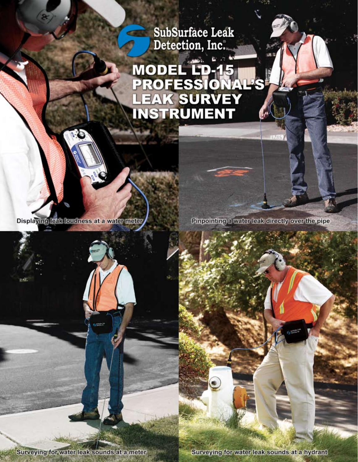SubSurface Leak<br>Detection, Inc.

# MODEL LP-15<br>PROFESSIONA<br>LEAK SURVEY<br>INSTRUMENT

Displaying leak loudness at a water meter

Pinpointing a water leak directly over the pipe

Surveying for water leak sounds at a meter

Surveying for water leak sounds at a hydrant